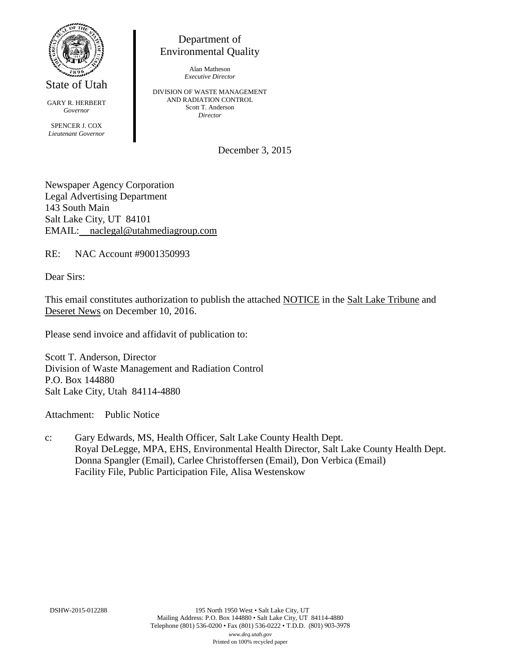

State of Utah

GARY R. HERBERT *Governor* SPENCER J. COX *Lieutenant Governor*

Department of Environmental Quality

> Alan Matheson *Executive Director*

DIVISION OF WASTE MANAGEMENT AND RADIATION CONTROL Scott T. Anderson *Director*

December 3, 2015

Newspaper Agency Corporation Legal Advertising Department 143 South Main Salt Lake City, UT 84101 EMAIL: naclegal@utahmediagroup.com

RE: NAC Account #9001350993

Dear Sirs:

This email constitutes authorization to publish the attached NOTICE in the Salt Lake Tribune and Deseret News on December 10, 2016.

Please send invoice and affidavit of publication to:

Scott T. Anderson, Director Division of Waste Management and Radiation Control P.O. Box 144880 Salt Lake City, Utah 84114-4880

Attachment: Public Notice

c: Gary Edwards, MS, Health Officer, Salt Lake County Health Dept. Royal DeLegge, MPA, EHS, Environmental Health Director, Salt Lake County Health Dept. Donna Spangler (Email), Carlee Christoffersen (Email), Don Verbica (Email) Facility File, Public Participation File, Alisa Westenskow